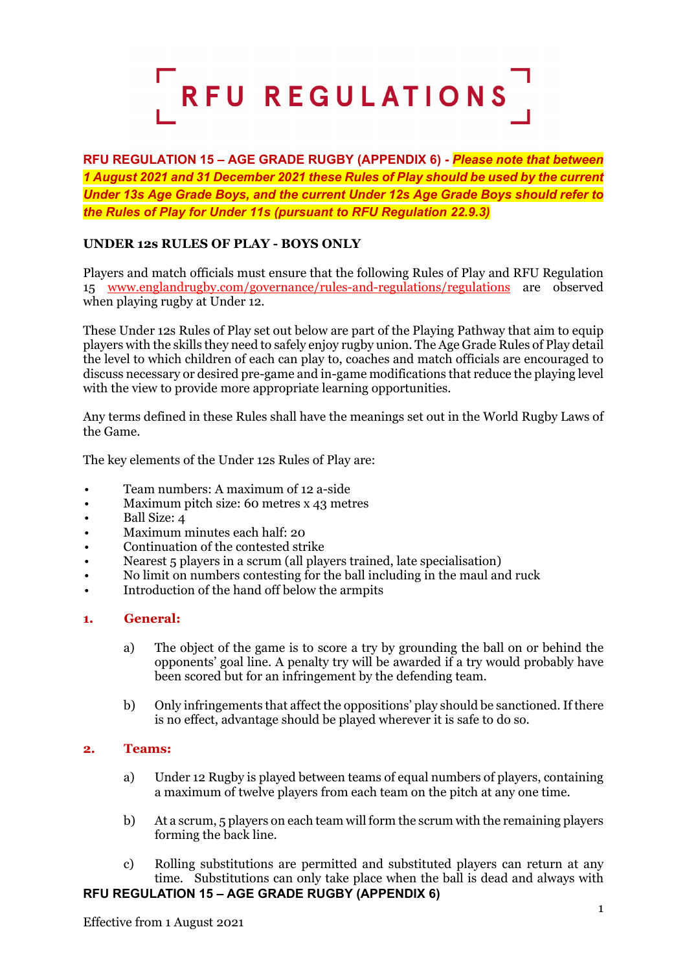

**RFU REGULATION 15 – AGE GRADE RUGBY (APPENDIX 6) -** *Please note that between 1 August 2021 and 31 December 2021 these Rules of Play should be used by the current Under 13s Age Grade Boys, and the current Under 12s Age Grade Boys should refer to the Rules of Play for Under 11s (pursuant to RFU Regulation 22.9.3)*

# **UNDER 12s RULES OF PLAY - BOYS ONLY**

Players and match officials must ensure that the following Rules of Play and RFU Regulation 15 [www.englandrugby.com/governance/rules-and-regulations/regulations](http://www.englandrugby.com/governance/rules-and-regulations/regulations) are observed when playing rugby at Under 12.

These Under 12s Rules of Play set out below are part of the Playing Pathway that aim to equip players with the skills they need to safely enjoy rugby union. The Age Grade Rules of Play detail the level to which children of each can play to, coaches and match officials are encouraged to discuss necessary or desired pre-game and in-game modifications that reduce the playing level with the view to provide more appropriate learning opportunities.

Any terms defined in these Rules shall have the meanings set out in the World Rugby Laws of the Game.

The key elements of the Under 12s Rules of Play are:

- Team numbers: A maximum of 12 a-side
- Maximum pitch size: 60 metres x 43 metres
- Ball Size: 4
- Maximum minutes each half: 20
- Continuation of the contested strike
- Nearest 5 players in a scrum (all players trained, late specialisation)
- No limit on numbers contesting for the ball including in the maul and ruck
- Introduction of the hand off below the armpits

#### **1. General:**

- a) The object of the game is to score a try by grounding the ball on or behind the opponents' goal line. A penalty try will be awarded if a try would probably have been scored but for an infringement by the defending team.
- b) Only infringements that affect the oppositions' play should be sanctioned. If there is no effect, advantage should be played wherever it is safe to do so.

#### **2. Teams:**

- a) Under 12 Rugby is played between teams of equal numbers of players, containing a maximum of twelve players from each team on the pitch at any one time.
- b) At a scrum, 5 players on each team will form the scrum with the remaining players forming the back line.
- **RFU REGULATION 15 – AGE GRADE RUGBY (APPENDIX 6)** c) Rolling substitutions are permitted and substituted players can return at any time. Substitutions can only take place when the ball is dead and always with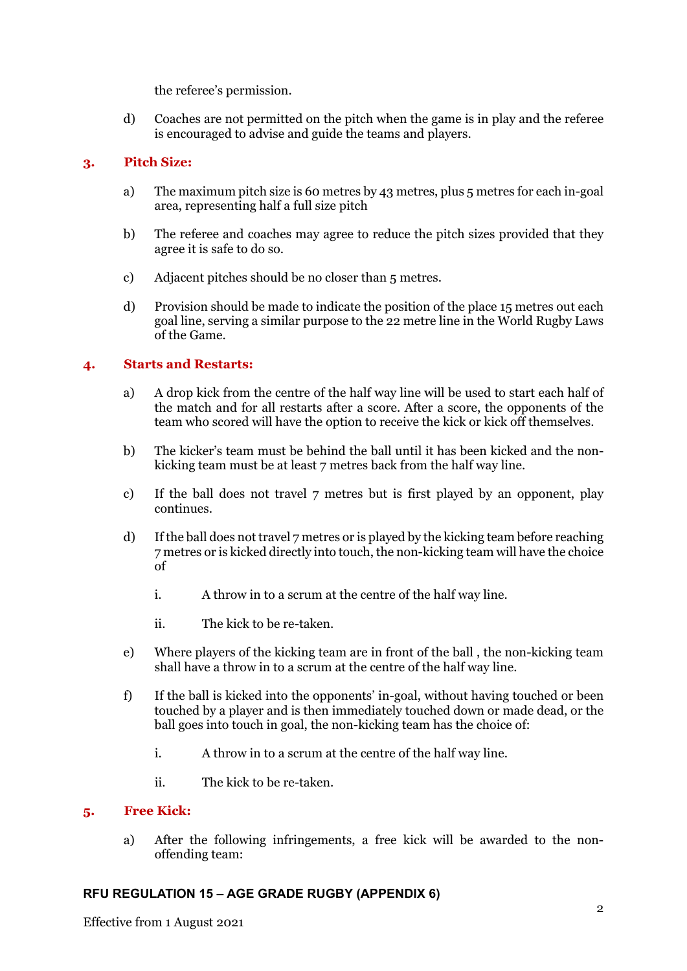the referee's permission.

d) Coaches are not permitted on the pitch when the game is in play and the referee is encouraged to advise and guide the teams and players.

## **3. Pitch Size:**

- a) The maximum pitch size is 60 metres by 43 metres, plus 5 metres for each in-goal area, representing half a full size pitch
- b) The referee and coaches may agree to reduce the pitch sizes provided that they agree it is safe to do so.
- c) Adjacent pitches should be no closer than 5 metres.
- d) Provision should be made to indicate the position of the place 15 metres out each goal line, serving a similar purpose to the 22 metre line in the World Rugby Laws of the Game.

## **4. Starts and Restarts:**

- a) A drop kick from the centre of the half way line will be used to start each half of the match and for all restarts after a score. After a score, the opponents of the team who scored will have the option to receive the kick or kick off themselves.
- b) The kicker's team must be behind the ball until it has been kicked and the nonkicking team must be at least 7 metres back from the half way line.
- c) If the ball does not travel 7 metres but is first played by an opponent, play continues.
- d) If the ball does not travel 7 metres or is played by the kicking team before reaching 7 metres or is kicked directly into touch, the non-kicking team will have the choice of
	- i. A throw in to a scrum at the centre of the half way line.
	- ii. The kick to be re-taken.
- e) Where players of the kicking team are in front of the ball , the non-kicking team shall have a throw in to a scrum at the centre of the half way line.
- f) If the ball is kicked into the opponents' in-goal, without having touched or been touched by a player and is then immediately touched down or made dead, or the ball goes into touch in goal, the non-kicking team has the choice of:
	- i. A throw in to a scrum at the centre of the half way line.
	- ii. The kick to be re-taken.

## **5. Free Kick:**

a) After the following infringements, a free kick will be awarded to the nonoffending team: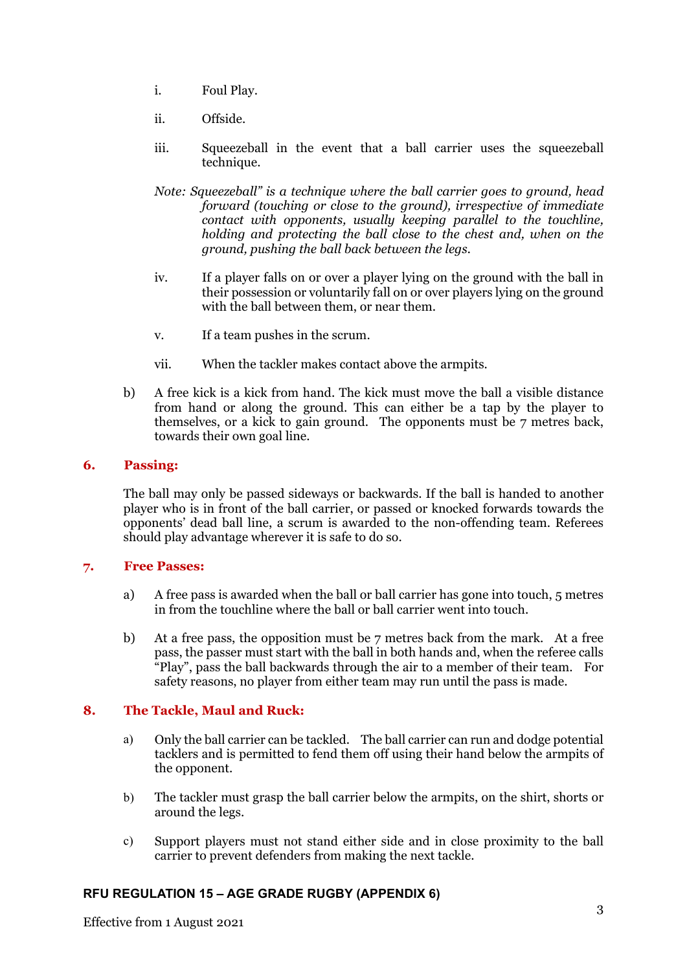- i. Foul Play.
- ii. Offside.
- iii. Squeezeball in the event that a ball carrier uses the squeezeball technique.
- *Note: Squeezeball" is a technique where the ball carrier goes to ground, head forward (touching or close to the ground), irrespective of immediate contact with opponents, usually keeping parallel to the touchline, holding and protecting the ball close to the chest and, when on the ground, pushing the ball back between the legs.*
- iv. If a player falls on or over a player lying on the ground with the ball in their possession or voluntarily fall on or over players lying on the ground with the ball between them, or near them.
- v. If a team pushes in the scrum.
- vii. When the tackler makes contact above the armpits.
- b) A free kick is a kick from hand. The kick must move the ball a visible distance from hand or along the ground. This can either be a tap by the player to themselves, or a kick to gain ground. The opponents must be 7 metres back, towards their own goal line.

## **6. Passing:**

The ball may only be passed sideways or backwards. If the ball is handed to another player who is in front of the ball carrier, or passed or knocked forwards towards the opponents' dead ball line, a scrum is awarded to the non-offending team. Referees should play advantage wherever it is safe to do so.

# **7. Free Passes:**

- a) A free pass is awarded when the ball or ball carrier has gone into touch, 5 metres in from the touchline where the ball or ball carrier went into touch.
- b) At a free pass, the opposition must be 7 metres back from the mark. At a free pass, the passer must start with the ball in both hands and, when the referee calls "Play", pass the ball backwards through the air to a member of their team. For safety reasons, no player from either team may run until the pass is made.

# **8. The Tackle, Maul and Ruck:**

- a) Only the ball carrier can be tackled. The ball carrier can run and dodge potential tacklers and is permitted to fend them off using their hand below the armpits of the opponent.
- b) The tackler must grasp the ball carrier below the armpits, on the shirt, shorts or around the legs.
- c) Support players must not stand either side and in close proximity to the ball carrier to prevent defenders from making the next tackle.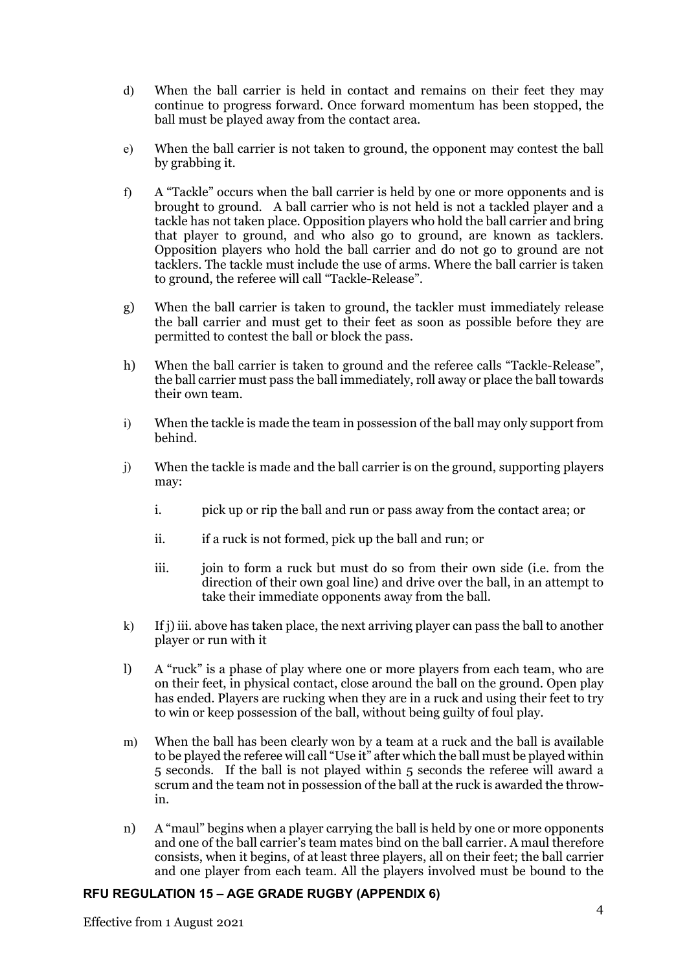- d) When the ball carrier is held in contact and remains on their feet they may continue to progress forward. Once forward momentum has been stopped, the ball must be played away from the contact area.
- e) When the ball carrier is not taken to ground, the opponent may contest the ball by grabbing it.
- f) A "Tackle" occurs when the ball carrier is held by one or more opponents and is brought to ground. A ball carrier who is not held is not a tackled player and a tackle has not taken place. Opposition players who hold the ball carrier and bring that player to ground, and who also go to ground, are known as tacklers. Opposition players who hold the ball carrier and do not go to ground are not tacklers. The tackle must include the use of arms. Where the ball carrier is taken to ground, the referee will call "Tackle-Release".
- g) When the ball carrier is taken to ground, the tackler must immediately release the ball carrier and must get to their feet as soon as possible before they are permitted to contest the ball or block the pass.
- h) When the ball carrier is taken to ground and the referee calls "Tackle-Release", the ball carrier must pass the ball immediately, roll away or place the ball towards their own team.
- i) When the tackle is made the team in possession of the ball may only support from behind.
- j) When the tackle is made and the ball carrier is on the ground, supporting players may:
	- i. pick up or rip the ball and run or pass away from the contact area; or
	- ii. if a ruck is not formed, pick up the ball and run; or
	- iii. join to form a ruck but must do so from their own side (i.e. from the direction of their own goal line) and drive over the ball, in an attempt to take their immediate opponents away from the ball.
- k) If j) iii. above has taken place, the next arriving player can pass the ball to another player or run with it
- l) A "ruck" is a phase of play where one or more players from each team, who are on their feet, in physical contact, close around the ball on the ground. Open play has ended. Players are rucking when they are in a ruck and using their feet to try to win or keep possession of the ball, without being guilty of foul play.
- m) When the ball has been clearly won by a team at a ruck and the ball is available to be played the referee will call "Use it" after which the ball must be played within 5 seconds. If the ball is not played within 5 seconds the referee will award a scrum and the team not in possession of the ball at the ruck is awarded the throwin.
- n) A "maul" begins when a player carrying the ball is held by one or more opponents and one of the ball carrier's team mates bind on the ball carrier. A maul therefore consists, when it begins, of at least three players, all on their feet; the ball carrier and one player from each team. All the players involved must be bound to the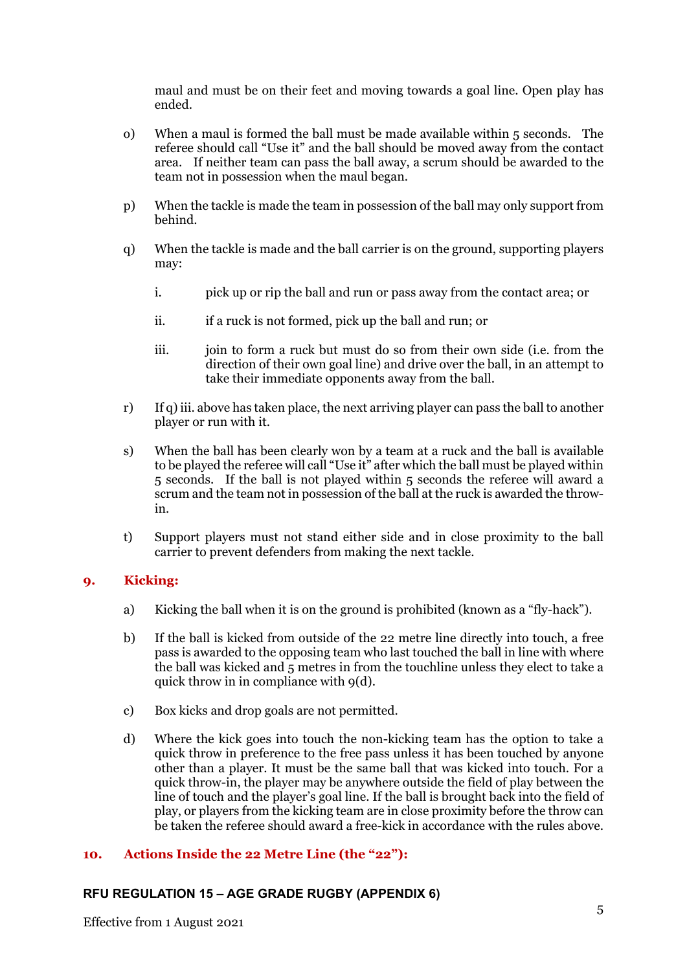maul and must be on their feet and moving towards a goal line. Open play has ended.

- o) When a maul is formed the ball must be made available within 5 seconds. The referee should call "Use it" and the ball should be moved away from the contact area. If neither team can pass the ball away, a scrum should be awarded to the team not in possession when the maul began.
- p) When the tackle is made the team in possession of the ball may only support from behind.
- q) When the tackle is made and the ball carrier is on the ground, supporting players may:
	- i. pick up or rip the ball and run or pass away from the contact area; or
	- ii. if a ruck is not formed, pick up the ball and run; or
	- iii. join to form a ruck but must do so from their own side (i.e. from the direction of their own goal line) and drive over the ball, in an attempt to take their immediate opponents away from the ball.
- r) If q) iii. above has taken place, the next arriving player can pass the ball to another player or run with it.
- s) When the ball has been clearly won by a team at a ruck and the ball is available to be played the referee will call "Use it" after which the ball must be played within 5 seconds. If the ball is not played within 5 seconds the referee will award a scrum and the team not in possession of the ball at the ruck is awarded the throwin.
- t) Support players must not stand either side and in close proximity to the ball carrier to prevent defenders from making the next tackle.

## **9. Kicking:**

- a) Kicking the ball when it is on the ground is prohibited (known as a "fly-hack").
- b) If the ball is kicked from outside of the 22 metre line directly into touch, a free pass is awarded to the opposing team who last touched the ball in line with where the ball was kicked and 5 metres in from the touchline unless they elect to take a quick throw in in compliance with 9(d).
- c) Box kicks and drop goals are not permitted.
- d) Where the kick goes into touch the non-kicking team has the option to take a quick throw in preference to the free pass unless it has been touched by anyone other than a player. It must be the same ball that was kicked into touch. For a quick throw-in, the player may be anywhere outside the field of play between the line of touch and the player's goal line. If the ball is brought back into the field of play, or players from the kicking team are in close proximity before the throw can be taken the referee should award a free-kick in accordance with the rules above.

#### **10. Actions Inside the 22 Metre Line (the "22"):**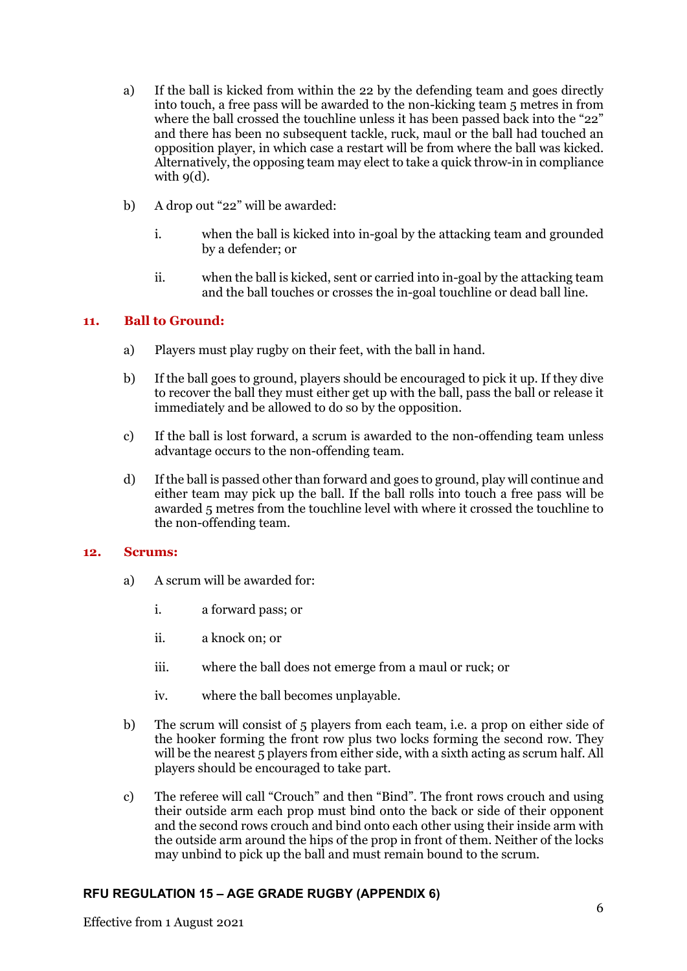- a) If the ball is kicked from within the 22 by the defending team and goes directly into touch, a free pass will be awarded to the non-kicking team 5 metres in from where the ball crossed the touchline unless it has been passed back into the "22" and there has been no subsequent tackle, ruck, maul or the ball had touched an opposition player, in which case a restart will be from where the ball was kicked. Alternatively, the opposing team may elect to take a quick throw-in in compliance with  $q(d)$ .
- b) A drop out "22" will be awarded:
	- i. when the ball is kicked into in-goal by the attacking team and grounded by a defender; or
	- ii. when the ball is kicked, sent or carried into in-goal by the attacking team and the ball touches or crosses the in-goal touchline or dead ball line.

#### **11. Ball to Ground:**

- a) Players must play rugby on their feet, with the ball in hand.
- b) If the ball goes to ground, players should be encouraged to pick it up. If they dive to recover the ball they must either get up with the ball, pass the ball or release it immediately and be allowed to do so by the opposition.
- c) If the ball is lost forward, a scrum is awarded to the non-offending team unless advantage occurs to the non-offending team.
- d) If the ball is passed other than forward and goes to ground, play will continue and either team may pick up the ball. If the ball rolls into touch a free pass will be awarded 5 metres from the touchline level with where it crossed the touchline to the non-offending team.

#### **12. Scrums:**

- a) A scrum will be awarded for:
	- i. a forward pass; or
	- ii. a knock on; or
	- iii. where the ball does not emerge from a maul or ruck; or
	- iv. where the ball becomes unplayable.
- b) The scrum will consist of 5 players from each team, i.e. a prop on either side of the hooker forming the front row plus two locks forming the second row. They will be the nearest 5 players from either side, with a sixth acting as scrum half. All players should be encouraged to take part.
- c) The referee will call "Crouch" and then "Bind". The front rows crouch and using their outside arm each prop must bind onto the back or side of their opponent and the second rows crouch and bind onto each other using their inside arm with the outside arm around the hips of the prop in front of them. Neither of the locks may unbind to pick up the ball and must remain bound to the scrum.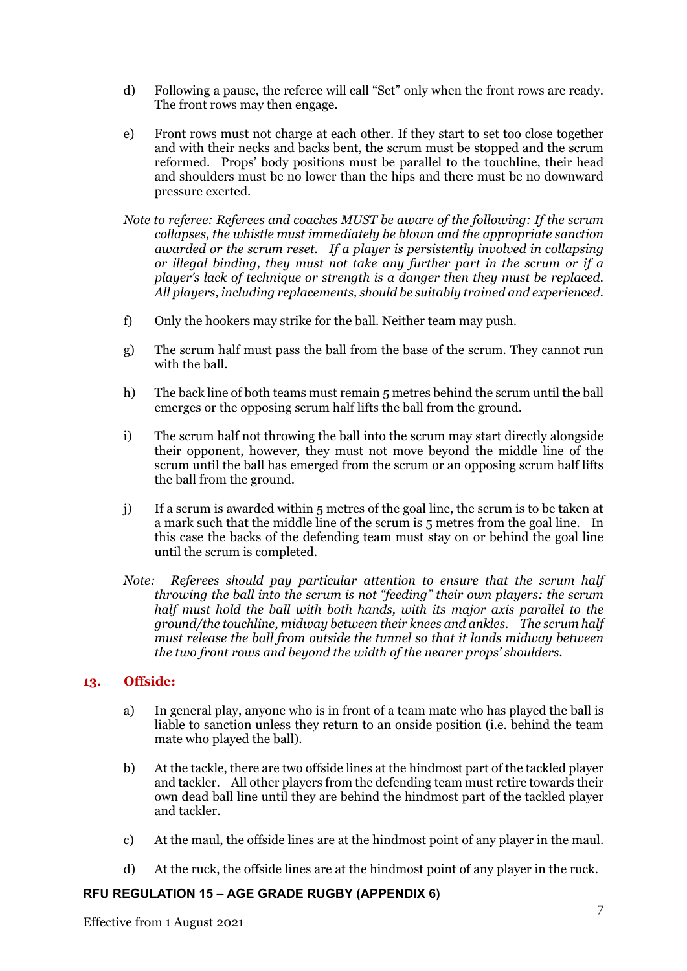- d) Following a pause, the referee will call "Set" only when the front rows are ready. The front rows may then engage.
- e) Front rows must not charge at each other. If they start to set too close together and with their necks and backs bent, the scrum must be stopped and the scrum reformed. Props' body positions must be parallel to the touchline, their head and shoulders must be no lower than the hips and there must be no downward pressure exerted.
- *Note to referee: Referees and coaches MUST be aware of the following: If the scrum collapses, the whistle must immediately be blown and the appropriate sanction awarded or the scrum reset. If a player is persistently involved in collapsing or illegal binding, they must not take any further part in the scrum or if a player's lack of technique or strength is a danger then they must be replaced. All players, including replacements, should be suitably trained and experienced.*
- f) Only the hookers may strike for the ball. Neither team may push.
- g) The scrum half must pass the ball from the base of the scrum. They cannot run with the ball.
- h) The back line of both teams must remain 5 metres behind the scrum until the ball emerges or the opposing scrum half lifts the ball from the ground.
- i) The scrum half not throwing the ball into the scrum may start directly alongside their opponent, however, they must not move beyond the middle line of the scrum until the ball has emerged from the scrum or an opposing scrum half lifts the ball from the ground.
- j) If a scrum is awarded within 5 metres of the goal line, the scrum is to be taken at a mark such that the middle line of the scrum is 5 metres from the goal line. In this case the backs of the defending team must stay on or behind the goal line until the scrum is completed.
- *Note: Referees should pay particular attention to ensure that the scrum half throwing the ball into the scrum is not "feeding" their own players: the scrum half must hold the ball with both hands, with its major axis parallel to the ground/the touchline, midway between their knees and ankles. The scrum half must release the ball from outside the tunnel so that it lands midway between the two front rows and beyond the width of the nearer props' shoulders.*

## **13. Offside:**

- a) In general play, anyone who is in front of a team mate who has played the ball is liable to sanction unless they return to an onside position (i.e. behind the team mate who played the ball).
- b) At the tackle, there are two offside lines at the hindmost part of the tackled player and tackler. All other players from the defending team must retire towards their own dead ball line until they are behind the hindmost part of the tackled player and tackler.
- c) At the maul, the offside lines are at the hindmost point of any player in the maul.
- d) At the ruck, the offside lines are at the hindmost point of any player in the ruck.